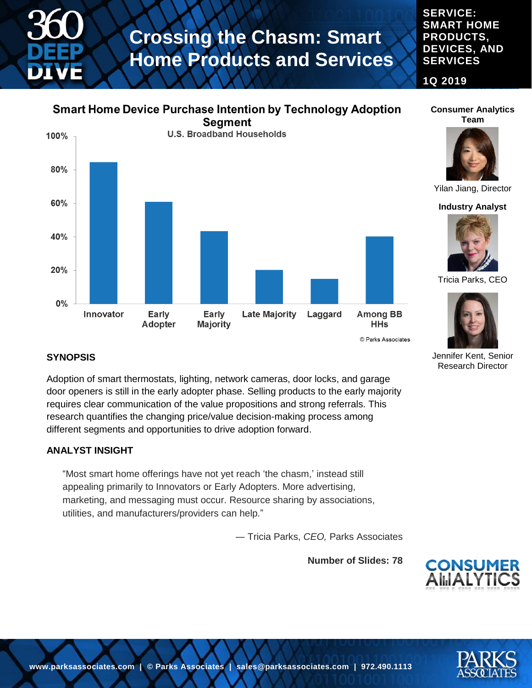#### **SERVICE: SMART HOME PRODUCTS, DEVICES, AND SERVICES**

**1Q 2019**

### **Smart Home Device Purchase Intention by Technology Adoption**



#### **Consumer Analytics Team**



Yilan Jiang, Director

#### **Industry Analyst**



Tricia Parks, CEO



Jennifer Kent, Senior Research Director

#### **SYNOPSIS**

Adoption of smart thermostats, lighting, network cameras, door locks, and garage door openers is still in the early adopter phase. Selling products to the early majority requires clear communication of the value propositions and strong referrals. This research quantifies the changing price/value decision-making process among different segments and opportunities to drive adoption forward.

#### **ANALYST INSIGHT**

"Most smart home offerings have not yet reach 'the chasm,' instead still appealing primarily to Innovators or Early Adopters. More advertising, marketing, and messaging must occur. Resource sharing by associations, utilities, and manufacturers/providers can help."

― Tricia Parks, *CEO,* Parks Associates

**Number of Slides: 78**



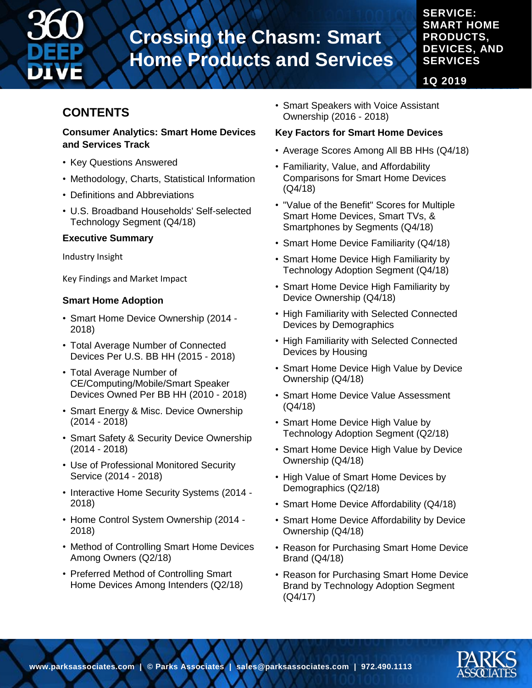

#### **SERVICE: SMART HOME PRODUCTS, DEVICES, AND SERVICES**

**1Q 2019**

### **CONTENTS**

#### **Consumer Analytics: Smart Home Devices and Services Track**

- Key Questions Answered
- Methodology, Charts, Statistical Information
- Definitions and Abbreviations
- U.S. Broadband Households' Self-selected Technology Segment (Q4/18)

#### **Executive Summary**

Industry Insight

Key Findings and Market Impact

#### **Smart Home Adoption**

- Smart Home Device Ownership (2014 2018)
- Total Average Number of Connected Devices Per U.S. BB HH (2015 - 2018)
- Total Average Number of CE/Computing/Mobile/Smart Speaker Devices Owned Per BB HH (2010 - 2018)
- Smart Energy & Misc. Device Ownership (2014 - 2018)
- Smart Safety & Security Device Ownership (2014 - 2018)
- Use of Professional Monitored Security Service (2014 - 2018)
- Interactive Home Security Systems (2014 2018)
- Home Control System Ownership (2014 2018)
- Method of Controlling Smart Home Devices Among Owners (Q2/18)
- Preferred Method of Controlling Smart Home Devices Among Intenders (Q2/18)

• Smart Speakers with Voice Assistant Ownership (2016 - 2018)

#### **Key Factors for Smart Home Devices**

- Average Scores Among All BB HHs (Q4/18)
- Familiarity, Value, and Affordability Comparisons for Smart Home Devices (Q4/18)
- "Value of the Benefit" Scores for Multiple Smart Home Devices, Smart TVs, & Smartphones by Segments (Q4/18)
- Smart Home Device Familiarity (Q4/18)
- Smart Home Device High Familiarity by Technology Adoption Segment (Q4/18)
- Smart Home Device High Familiarity by Device Ownership (Q4/18)
- High Familiarity with Selected Connected Devices by Demographics
- High Familiarity with Selected Connected Devices by Housing
- Smart Home Device High Value by Device Ownership (Q4/18)
- Smart Home Device Value Assessment (Q4/18)
- Smart Home Device High Value by Technology Adoption Segment (Q2/18)
- Smart Home Device High Value by Device Ownership (Q4/18)
- High Value of Smart Home Devices by Demographics (Q2/18)
- Smart Home Device Affordability (Q4/18)
- Smart Home Device Affordability by Device Ownership (Q4/18)
- Reason for Purchasing Smart Home Device Brand (Q4/18)
- Reason for Purchasing Smart Home Device Brand by Technology Adoption Segment (Q4/17)

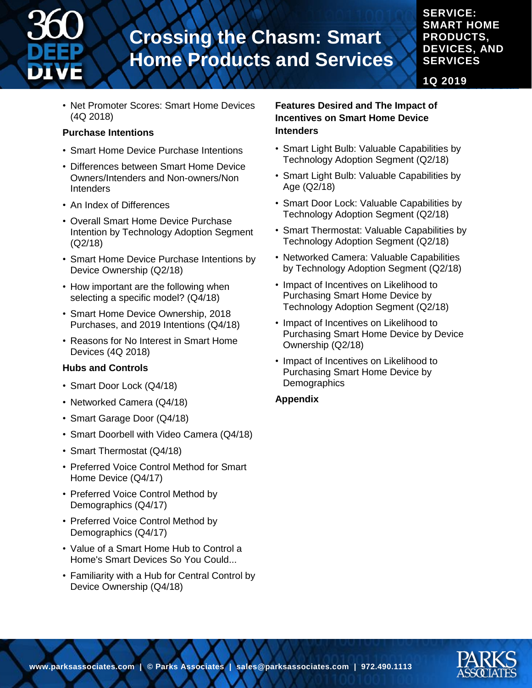

#### **SERVICE: SMART HOME PRODUCTS, DEVICES, AND SERVICES**

**1Q 2019**

• Net Promoter Scores: Smart Home Devices (4Q 2018)

#### **Purchase Intentions**

- Smart Home Device Purchase Intentions
- Differences between Smart Home Device Owners/Intenders and Non-owners/Non **Intenders**
- An Index of Differences
- Overall Smart Home Device Purchase Intention by Technology Adoption Segment (Q2/18)
- Smart Home Device Purchase Intentions by Device Ownership (Q2/18)
- How important are the following when selecting a specific model? (Q4/18)
- Smart Home Device Ownership, 2018 Purchases, and 2019 Intentions (Q4/18)
- Reasons for No Interest in Smart Home Devices (4Q 2018)

#### **Hubs and Controls**

- Smart Door Lock (Q4/18)
- Networked Camera (Q4/18)
- Smart Garage Door (Q4/18)
- Smart Doorbell with Video Camera (Q4/18)
- Smart Thermostat (Q4/18)
- Preferred Voice Control Method for Smart Home Device (Q4/17)
- Preferred Voice Control Method by Demographics (Q4/17)
- Preferred Voice Control Method by Demographics (Q4/17)
- Value of a Smart Home Hub to Control a Home's Smart Devices So You Could...
- Familiarity with a Hub for Central Control by Device Ownership (Q4/18)

#### **Features Desired and The Impact of Incentives on Smart Home Device Intenders**

- Smart Light Bulb: Valuable Capabilities by Technology Adoption Segment (Q2/18)
- Smart Light Bulb: Valuable Capabilities by Age (Q2/18)
- Smart Door Lock: Valuable Capabilities by Technology Adoption Segment (Q2/18)
- Smart Thermostat: Valuable Capabilities by Technology Adoption Segment (Q2/18)
- Networked Camera: Valuable Capabilities by Technology Adoption Segment (Q2/18)
- Impact of Incentives on Likelihood to Purchasing Smart Home Device by Technology Adoption Segment (Q2/18)
- Impact of Incentives on Likelihood to Purchasing Smart Home Device by Device Ownership (Q2/18)
- Impact of Incentives on Likelihood to Purchasing Smart Home Device by **Demographics**
- **Appendix**